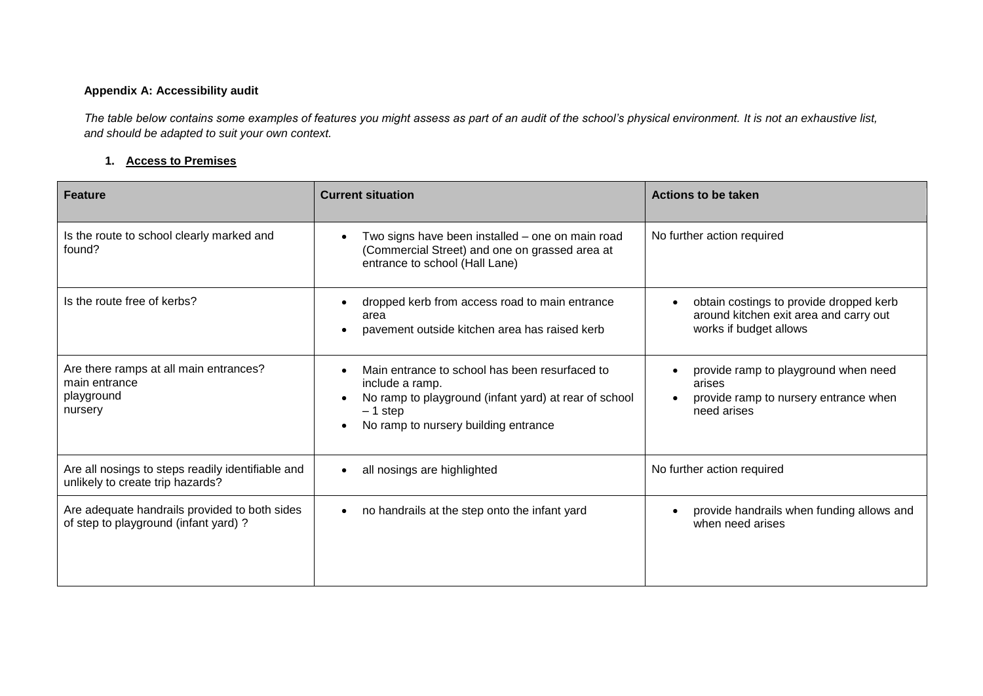## **Appendix A: Accessibility audit**

*The table below contains some examples of features you might assess as part of an audit of the school's physical environment. It is not an exhaustive list, and should be adapted to suit your own context.*

## **1. Access to Premises**

| <b>Feature</b>                                                                         | <b>Current situation</b>                                                                                                                                                        | Actions to be taken                                                                                         |
|----------------------------------------------------------------------------------------|---------------------------------------------------------------------------------------------------------------------------------------------------------------------------------|-------------------------------------------------------------------------------------------------------------|
| Is the route to school clearly marked and<br>found?                                    | Two signs have been installed - one on main road<br>(Commercial Street) and one on grassed area at<br>entrance to school (Hall Lane)                                            | No further action required                                                                                  |
| Is the route free of kerbs?                                                            | dropped kerb from access road to main entrance<br>area<br>pavement outside kitchen area has raised kerb                                                                         | obtain costings to provide dropped kerb<br>around kitchen exit area and carry out<br>works if budget allows |
| Are there ramps at all main entrances?<br>main entrance<br>playground<br>nursery       | Main entrance to school has been resurfaced to<br>include a ramp.<br>No ramp to playground (infant yard) at rear of school<br>$-1$ step<br>No ramp to nursery building entrance | provide ramp to playground when need<br>arises<br>provide ramp to nursery entrance when<br>need arises      |
| Are all nosings to steps readily identifiable and<br>unlikely to create trip hazards?  | all nosings are highlighted                                                                                                                                                     | No further action required                                                                                  |
| Are adequate handrails provided to both sides<br>of step to playground (infant yard) ? | no handrails at the step onto the infant yard                                                                                                                                   | provide handrails when funding allows and<br>when need arises                                               |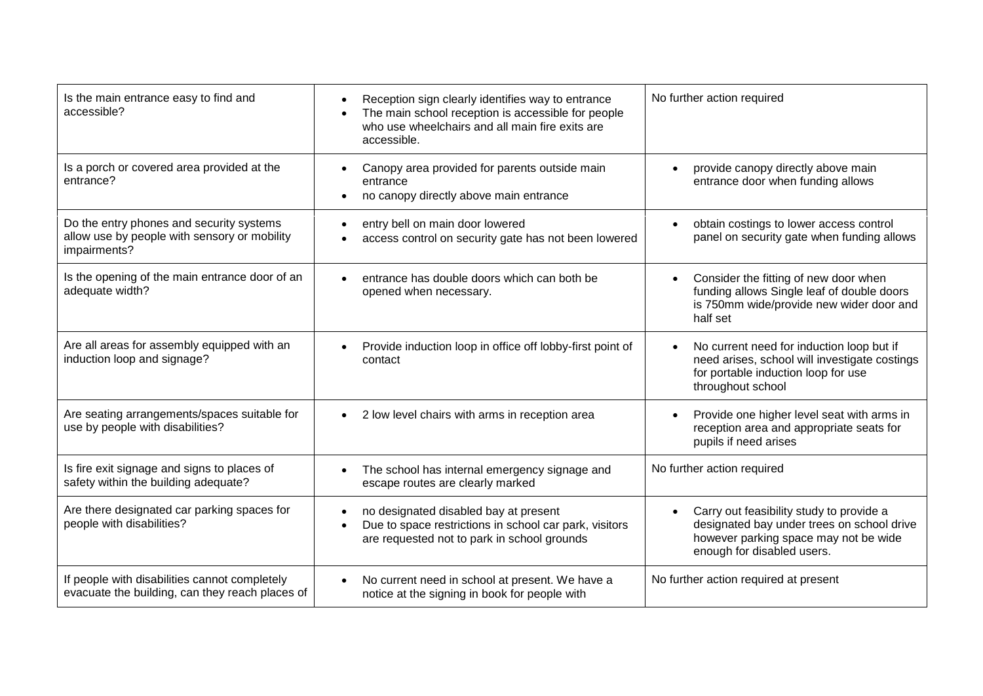| Is the main entrance easy to find and<br>accessible?                                                     | Reception sign clearly identifies way to entrance<br>The main school reception is accessible for people<br>who use wheelchairs and all main fire exits are<br>accessible. | No further action required                                                                                                                                    |
|----------------------------------------------------------------------------------------------------------|---------------------------------------------------------------------------------------------------------------------------------------------------------------------------|---------------------------------------------------------------------------------------------------------------------------------------------------------------|
| Is a porch or covered area provided at the<br>entrance?                                                  | Canopy area provided for parents outside main<br>entrance<br>no canopy directly above main entrance                                                                       | provide canopy directly above main<br>entrance door when funding allows                                                                                       |
| Do the entry phones and security systems<br>allow use by people with sensory or mobility<br>impairments? | entry bell on main door lowered<br>access control on security gate has not been lowered                                                                                   | obtain costings to lower access control<br>panel on security gate when funding allows                                                                         |
| Is the opening of the main entrance door of an<br>adequate width?                                        | entrance has double doors which can both be<br>opened when necessary.                                                                                                     | Consider the fitting of new door when<br>funding allows Single leaf of double doors<br>is 750mm wide/provide new wider door and<br>half set                   |
| Are all areas for assembly equipped with an<br>induction loop and signage?                               | Provide induction loop in office off lobby-first point of<br>contact                                                                                                      | No current need for induction loop but if<br>need arises, school will investigate costings<br>for portable induction loop for use<br>throughout school        |
| Are seating arrangements/spaces suitable for<br>use by people with disabilities?                         | 2 low level chairs with arms in reception area<br>$\bullet$                                                                                                               | Provide one higher level seat with arms in<br>reception area and appropriate seats for<br>pupils if need arises                                               |
| Is fire exit signage and signs to places of<br>safety within the building adequate?                      | The school has internal emergency signage and<br>escape routes are clearly marked                                                                                         | No further action required                                                                                                                                    |
| Are there designated car parking spaces for<br>people with disabilities?                                 | no designated disabled bay at present<br>Due to space restrictions in school car park, visitors<br>are requested not to park in school grounds                            | Carry out feasibility study to provide a<br>designated bay under trees on school drive<br>however parking space may not be wide<br>enough for disabled users. |
| If people with disabilities cannot completely<br>evacuate the building, can they reach places of         | No current need in school at present. We have a<br>notice at the signing in book for people with                                                                          | No further action required at present                                                                                                                         |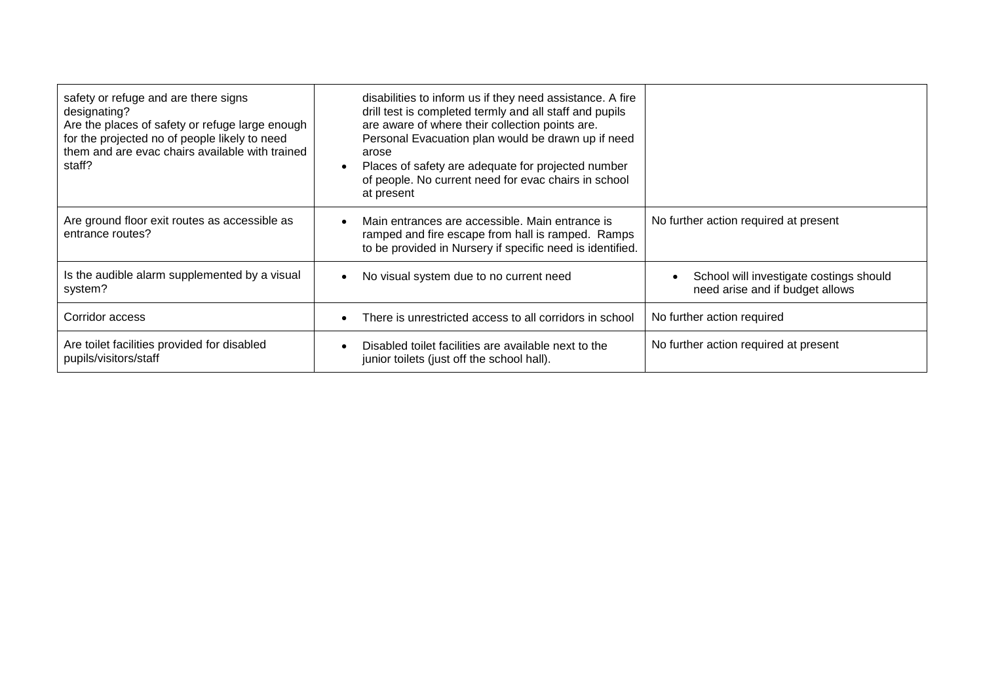| safety or refuge and are there signs<br>designating?<br>Are the places of safety or refuge large enough<br>for the projected no of people likely to need<br>them and are evac chairs available with trained<br>staff? | disabilities to inform us if they need assistance. A fire<br>drill test is completed termly and all staff and pupils<br>are aware of where their collection points are.<br>Personal Evacuation plan would be drawn up if need<br>arose<br>Places of safety are adequate for projected number<br>of people. No current need for evac chairs in school<br>at present |                                                                            |
|-----------------------------------------------------------------------------------------------------------------------------------------------------------------------------------------------------------------------|--------------------------------------------------------------------------------------------------------------------------------------------------------------------------------------------------------------------------------------------------------------------------------------------------------------------------------------------------------------------|----------------------------------------------------------------------------|
| Are ground floor exit routes as accessible as<br>entrance routes?                                                                                                                                                     | Main entrances are accessible. Main entrance is<br>ramped and fire escape from hall is ramped. Ramps<br>to be provided in Nursery if specific need is identified.                                                                                                                                                                                                  | No further action required at present                                      |
| Is the audible alarm supplemented by a visual<br>system?                                                                                                                                                              | No visual system due to no current need                                                                                                                                                                                                                                                                                                                            | School will investigate costings should<br>need arise and if budget allows |
| Corridor access                                                                                                                                                                                                       | There is unrestricted access to all corridors in school                                                                                                                                                                                                                                                                                                            | No further action required                                                 |
| Are toilet facilities provided for disabled<br>pupils/visitors/staff                                                                                                                                                  | Disabled toilet facilities are available next to the<br>junior toilets (just off the school hall).                                                                                                                                                                                                                                                                 | No further action required at present                                      |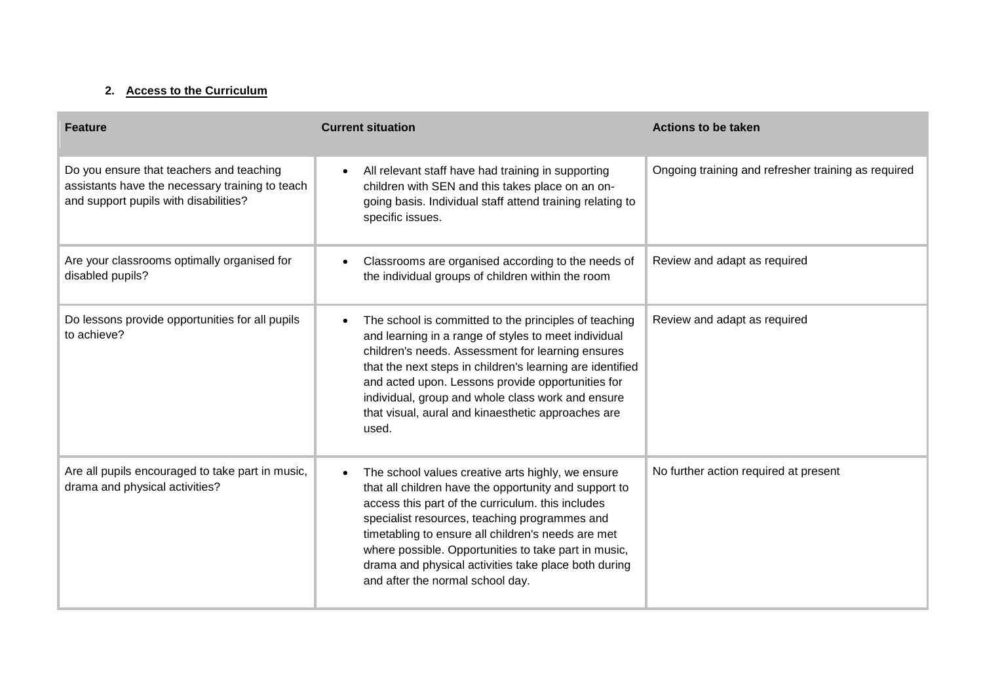## **2. Access to the Curriculum**

| <b>Feature</b>                                                                                                                       | <b>Current situation</b>                                                                                                                                                                                                                                                                                                                                                                                                   | <b>Actions to be taken</b>                          |
|--------------------------------------------------------------------------------------------------------------------------------------|----------------------------------------------------------------------------------------------------------------------------------------------------------------------------------------------------------------------------------------------------------------------------------------------------------------------------------------------------------------------------------------------------------------------------|-----------------------------------------------------|
| Do you ensure that teachers and teaching<br>assistants have the necessary training to teach<br>and support pupils with disabilities? | All relevant staff have had training in supporting<br>children with SEN and this takes place on an on-<br>going basis. Individual staff attend training relating to<br>specific issues.                                                                                                                                                                                                                                    | Ongoing training and refresher training as required |
| Are your classrooms optimally organised for<br>disabled pupils?                                                                      | Classrooms are organised according to the needs of<br>the individual groups of children within the room                                                                                                                                                                                                                                                                                                                    | Review and adapt as required                        |
| Do lessons provide opportunities for all pupils<br>to achieve?                                                                       | The school is committed to the principles of teaching<br>and learning in a range of styles to meet individual<br>children's needs. Assessment for learning ensures<br>that the next steps in children's learning are identified<br>and acted upon. Lessons provide opportunities for<br>individual, group and whole class work and ensure<br>that visual, aural and kinaesthetic approaches are<br>used.                   | Review and adapt as required                        |
| Are all pupils encouraged to take part in music,<br>drama and physical activities?                                                   | The school values creative arts highly, we ensure<br>that all children have the opportunity and support to<br>access this part of the curriculum. this includes<br>specialist resources, teaching programmes and<br>timetabling to ensure all children's needs are met<br>where possible. Opportunities to take part in music,<br>drama and physical activities take place both during<br>and after the normal school day. | No further action required at present               |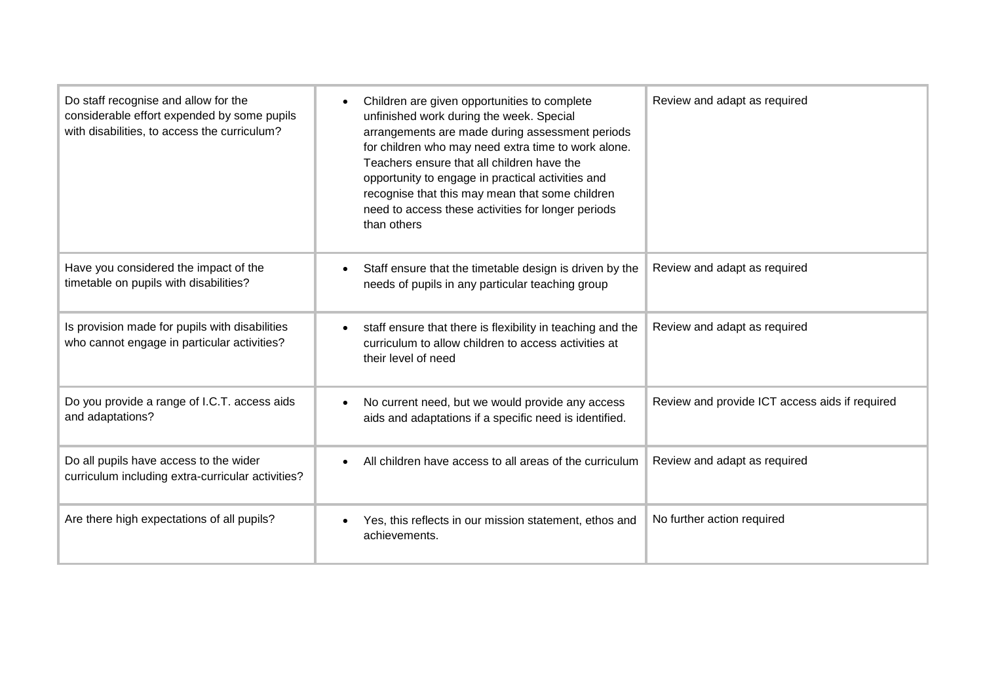| Do staff recognise and allow for the<br>considerable effort expended by some pupils<br>with disabilities, to access the curriculum? | Children are given opportunities to complete<br>unfinished work during the week. Special<br>arrangements are made during assessment periods<br>for children who may need extra time to work alone.<br>Teachers ensure that all children have the<br>opportunity to engage in practical activities and<br>recognise that this may mean that some children<br>need to access these activities for longer periods<br>than others | Review and adapt as required                   |
|-------------------------------------------------------------------------------------------------------------------------------------|-------------------------------------------------------------------------------------------------------------------------------------------------------------------------------------------------------------------------------------------------------------------------------------------------------------------------------------------------------------------------------------------------------------------------------|------------------------------------------------|
| Have you considered the impact of the<br>timetable on pupils with disabilities?                                                     | Staff ensure that the timetable design is driven by the<br>$\bullet$<br>needs of pupils in any particular teaching group                                                                                                                                                                                                                                                                                                      | Review and adapt as required                   |
| Is provision made for pupils with disabilities<br>who cannot engage in particular activities?                                       | staff ensure that there is flexibility in teaching and the<br>$\bullet$<br>curriculum to allow children to access activities at<br>their level of need                                                                                                                                                                                                                                                                        | Review and adapt as required                   |
| Do you provide a range of I.C.T. access aids<br>and adaptations?                                                                    | No current need, but we would provide any access<br>aids and adaptations if a specific need is identified.                                                                                                                                                                                                                                                                                                                    | Review and provide ICT access aids if required |
| Do all pupils have access to the wider<br>curriculum including extra-curricular activities?                                         | All children have access to all areas of the curriculum<br>$\bullet$                                                                                                                                                                                                                                                                                                                                                          | Review and adapt as required                   |
| Are there high expectations of all pupils?                                                                                          | Yes, this reflects in our mission statement, ethos and<br>achievements.                                                                                                                                                                                                                                                                                                                                                       | No further action required                     |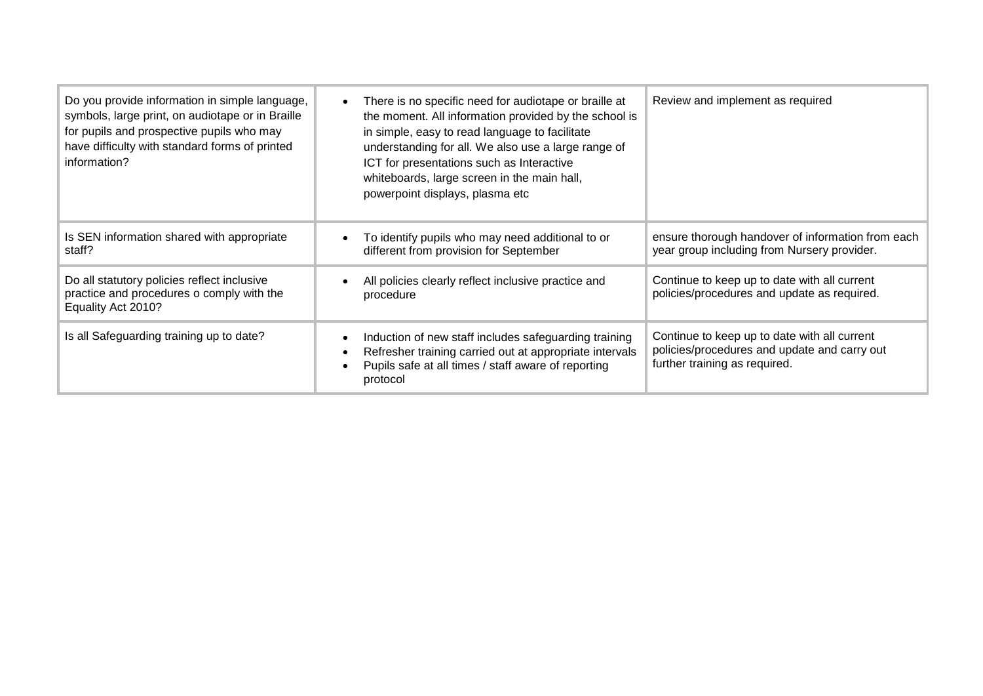| Do you provide information in simple language,<br>symbols, large print, on audiotape or in Braille<br>for pupils and prospective pupils who may<br>have difficulty with standard forms of printed<br>information? | There is no specific need for audiotape or braille at<br>$\bullet$<br>the moment. All information provided by the school is<br>in simple, easy to read language to facilitate<br>understanding for all. We also use a large range of<br>ICT for presentations such as Interactive<br>whiteboards, large screen in the main hall,<br>powerpoint displays, plasma etc | Review and implement as required                                                                                              |
|-------------------------------------------------------------------------------------------------------------------------------------------------------------------------------------------------------------------|---------------------------------------------------------------------------------------------------------------------------------------------------------------------------------------------------------------------------------------------------------------------------------------------------------------------------------------------------------------------|-------------------------------------------------------------------------------------------------------------------------------|
| Is SEN information shared with appropriate<br>staff?                                                                                                                                                              | To identify pupils who may need additional to or<br>different from provision for September                                                                                                                                                                                                                                                                          | ensure thorough handover of information from each<br>year group including from Nursery provider.                              |
| Do all statutory policies reflect inclusive<br>practice and procedures o comply with the<br>Equality Act 2010?                                                                                                    | All policies clearly reflect inclusive practice and<br>procedure                                                                                                                                                                                                                                                                                                    | Continue to keep up to date with all current<br>policies/procedures and update as required.                                   |
| Is all Safeguarding training up to date?                                                                                                                                                                          | Induction of new staff includes safeguarding training<br>$\bullet$<br>Refresher training carried out at appropriate intervals<br>$\bullet$<br>Pupils safe at all times / staff aware of reporting<br>$\bullet$<br>protocol                                                                                                                                          | Continue to keep up to date with all current<br>policies/procedures and update and carry out<br>further training as required. |